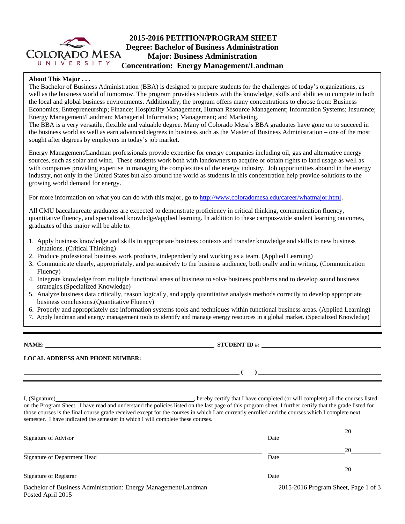

#### **About This Major . . .**

The Bachelor of Business Administration (BBA) is designed to prepare students for the challenges of today's organizations, as well as the business world of tomorrow. The program provides students with the knowledge, skills and abilities to compete in both the local and global business environments. Additionally, the program offers many concentrations to choose from: Business Economics; Entrepreneurship; Finance; Hospitality Management, Human Resource Management; Information Systems; Insurance; Energy Management/Landman; Managerial Informatics; Management; and Marketing.

The BBA is a very versatile, flexible and valuable degree. Many of Colorado Mesa's BBA graduates have gone on to succeed in the business world as well as earn advanced degrees in business such as the Master of Business Administration – one of the most sought after degrees by employers in today's job market.

Energy Management/Landman professionals provide expertise for energy companies including oil, gas and alternative energy sources, such as solar and wind. These students work both with landowners to acquire or obtain rights to land usage as well as with companies providing expertise in managing the complexities of the energy industry. Job opportunities abound in the energy industry, not only in the United States but also around the world as students in this concentration help provide solutions to the growing world demand for energy.

For more information on what you can do with this major, go to http://www.coloradomesa.edu/career/whatmajor.html.

All CMU baccalaureate graduates are expected to demonstrate proficiency in critical thinking, communication fluency, quantitative fluency, and specialized knowledge/applied learning. In addition to these campus-wide student learning outcomes, graduates of this major will be able to:

- 1. Apply business knowledge and skills in appropriate business contexts and transfer knowledge and skills to new business situations. (Critical Thinking)
- 2. Produce professional business work products, independently and working as a team. (Applied Learning)
- 3. Communicate clearly, appropriately, and persuasively to the business audience, both orally and in writing. (Communication Fluency)
- 4. Integrate knowledge from multiple functional areas of business to solve business problems and to develop sound business strategies.(Specialized Knowledge)
- 5. Analyze business data critically, reason logically, and apply quantitative analysis methods correctly to develop appropriate business conclusions.(Quantitative Fluency)
- 6. Properly and appropriately use information systems tools and techniques within functional business areas. (Applied Learning)
- 7. Apply landman and energy management tools to identify and manage energy resources in a global market. (Specialized Knowledge)

**NAME: STUDENT ID #:**

**LOCAL ADDRESS AND PHONE NUMBER:**

 **( )** 

I, (Signature) **Source 2008** (Signature) **, hereby certify that I have completed** (or will complete) all the courses listed on the Program Sheet. I have read and understand the policies listed on the last page of this program sheet. I further certify that the grade listed for those courses is the final course grade received except for the courses in which I am currently enrolled and the courses which I complete next semester. I have indicated the semester in which I will complete these courses.

|                                                                                     |      | 20                                   |
|-------------------------------------------------------------------------------------|------|--------------------------------------|
| Signature of Advisor                                                                | Date |                                      |
|                                                                                     |      | 20                                   |
| Signature of Department Head                                                        | Date |                                      |
|                                                                                     |      | 20                                   |
| Signature of Registrar                                                              | Date |                                      |
| Bachelor of Business Administration: Energy Management/Landman<br>Posted April 2015 |      | 2015-2016 Program Sheet, Page 1 of 3 |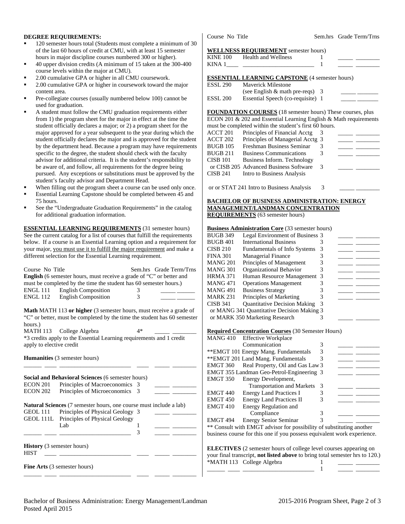### **DEGREE REQUIREMENTS:**

- 120 semester hours total (Students must complete a minimum of 30 of the last 60 hours of credit at CMU, with at least 15 semester hours in major discipline courses numbered 300 or higher).
- 40 upper division credits (A minimum of 15 taken at the 300-400 course levels within the major at CMU).
- 2.00 cumulative GPA or higher in all CMU coursework.
- 2.00 cumulative GPA or higher in coursework toward the major content area.
- Pre-collegiate courses (usually numbered below 100) cannot be used for graduation.
- A student must follow the CMU graduation requirements either from 1) the program sheet for the major in effect at the time the student officially declares a major; or 2) a program sheet for the major approved for a year subsequent to the year during which the student officially declares the major and is approved for the student by the department head. Because a program may have requirements specific to the degree, the student should check with the faculty advisor for additional criteria. It is the student's responsibility to be aware of, and follow, all requirements for the degree being pursued. Any exceptions or substitutions must be approved by the student's faculty advisor and Department Head.
- When filling out the program sheet a course can be used only once.
- Essential Learning Capstone should be completed between 45 and 75 hours.
- See the "Undergraduate Graduation Requirements" in the catalog for additional graduation information.

**ESSENTIAL LEARNING REQUIREMENTS** (31 semester hours) See the current catalog for a list of courses that fulfill the requirements below. If a course is an Essential Learning option and a requirement for your major, you must use it to fulfill the major requirement and make a different selection for the Essential Learning requirement.

| Course No Title<br>ENGL 111<br><b>ENGL 112</b>   | <b>English</b> (6 semester hours, must receive a grade of "C" or better and<br>must be completed by the time the student has 60 semester hours.)<br><b>English Composition</b><br><b>English Composition</b> | 3<br>3 | Sem.hrs Grade Term/Trns |
|--------------------------------------------------|--------------------------------------------------------------------------------------------------------------------------------------------------------------------------------------------------------------|--------|-------------------------|
| hours.)                                          | Math MATH 113 or higher (3 semester hours, must receive a grade of<br>"C" or better, must be completed by the time the student has 60 semester                                                               |        |                         |
| apply to elective credit                         | MATH 113 College Algebra<br>*3 credits apply to the Essential Learning requirements and 1 credit                                                                                                             | $4*$   |                         |
|                                                  | <b>Humanities</b> (3 semester hours)                                                                                                                                                                         |        |                         |
|                                                  | Social and Behavioral Sciences (6 semester hours)                                                                                                                                                            |        |                         |
| ECON 201                                         | Principles of Macroeconomics 3                                                                                                                                                                               |        |                         |
| <b>ECON 202</b>                                  | Principles of Microeconomics                                                                                                                                                                                 | 3      |                         |
|                                                  | <b>Natural Sciences</b> (7 semester hours, one course must include a lab)                                                                                                                                    |        |                         |
| GEOL 111                                         | Principles of Physical Geology 3                                                                                                                                                                             |        |                         |
| GEOL 111L                                        | Principles of Physical Geology                                                                                                                                                                               |        |                         |
|                                                  | Lab                                                                                                                                                                                                          | 1      |                         |
|                                                  |                                                                                                                                                                                                              | 3      |                         |
| <b>History</b> (3 semester hours)<br><b>HIST</b> |                                                                                                                                                                                                              |        |                         |
|                                                  | <b>Fine Arts</b> (3 semester hours)                                                                                                                                                                          |        |                         |

Course No Title Sem.hrs Grade Term/Trns

#### **WELLNESS REQUIREMENT** semester hours)

| KINE 100 Health and Wellness                          |  |  |
|-------------------------------------------------------|--|--|
| <b>ESSENTIAL LEARNING CAPSTONE</b> (4 semester hours) |  |  |
| <b>ESSL 290</b> Maverick Milestone                    |  |  |

# ESSL 290 Maverick Milestone

|          | (see English $&$ math pre-reqs) 3 |  |
|----------|-----------------------------------|--|
| ESSL 200 | Essential Speech (co-requisite) 1 |  |

**FOUNDATION COURSES** (18 semester hours) These courses, plus ECON 201 & 202 and Essential Learning English & Math requirements must be completed within the student's first 60 hours.

|                 | must be completed within the student s first ob hours. |               |  |
|-----------------|--------------------------------------------------------|---------------|--|
| ACCT 201        | Principles of Financial Acctg                          |               |  |
| ACCT 202        | Principles of Managerial Acctg 3                       |               |  |
| <b>BUGB 105</b> | Freshman Business Seminar                              |               |  |
| <b>BUGB 211</b> | <b>Business Communications</b>                         |               |  |
| <b>CISB 101</b> | Business Inform. Technology                            |               |  |
|                 | or CISB 205 Advanced Business Software                 | $\mathcal{R}$ |  |
| CISB 241        | Intro to Business Analysis                             |               |  |
|                 |                                                        |               |  |

or or STAT 241 Intro to Business Analysis 3

#### **BACHELOR OF BUSINESS ADMINISTRATION: ENERGY MANAGEMENT/LANDMAN CONCENTRATION REQUIREMENTS** (63 semester hours)

### **Business Administration Core** (33 semester hours)

| <b>BUGB 349</b> | Legal Environment of Business 3            |  |  |
|-----------------|--------------------------------------------|--|--|
| BUGB 401        | <b>International Business</b>              |  |  |
| CISB 210        | Fundamentals of Info Systems               |  |  |
| FINA 301        | <b>Managerial Finance</b>                  |  |  |
| MANG 201        | Principles of Management                   |  |  |
| MANG 301        | Organizational Behavior                    |  |  |
| HRMA 371        | Human Resource Management 3                |  |  |
| MANG 471        | <b>Operations Management</b>               |  |  |
| MANG 491        | <b>Business Strategy</b>                   |  |  |
| MARK 231        | Principles of Marketing                    |  |  |
| CISB 341        | <b>Quantitative Decision Making</b>        |  |  |
|                 | or MANG 341 Quantitative Decision Making 3 |  |  |
|                 | or MARK 350 Marketing Research             |  |  |

#### **Required Concentration Courses** (30 Semester Hours)

|                     | MANG 410 Effective Workplace                                            |   |  |  |
|---------------------|-------------------------------------------------------------------------|---|--|--|
|                     | Communication                                                           | 3 |  |  |
|                     | ** EMGT 101 Energy Mang. Fundamentals                                   | 3 |  |  |
|                     | ** EMGT 201 Land Mang. Fundamentals                                     | 3 |  |  |
| EMGT 360            | Real Property, Oil and Gas Law 3                                        |   |  |  |
|                     | EMGT 355 Landman Geo-Petrol-Engineering 3                               |   |  |  |
| EMGT 350            | Energy Development,                                                     |   |  |  |
|                     | <b>Transportation and Markets</b>                                       | 3 |  |  |
| EMGT 440            | <b>Energy Land Practices I</b>                                          | 3 |  |  |
| <b>EMGT 450</b>     | <b>Energy Land Practices II</b>                                         | 3 |  |  |
| EMGT <sub>410</sub> | Energy Regulation and                                                   |   |  |  |
|                     | Compliance                                                              | 3 |  |  |
| EMGT 494            | <b>Energy Senior Seminar</b>                                            | 3 |  |  |
|                     | ** Consult with EMGT advisor for possibility of substituting another    |   |  |  |
|                     | business course for this one if you possess equivalent work experience. |   |  |  |

**ELECTIVES** (2 semester hours of college level courses appearing on your final transcript, **not listed above** to bring total semester hrs to 120.)

\_\_\_\_\_\_ \_\_\_\_ \_\_\_\_\_\_\_\_\_\_\_\_\_\_\_\_\_\_\_\_\_\_\_\_ 1 \_\_\_\_\_ \_\_\_\_\_\_\_\_

\*MATH 113 College Algebra 1